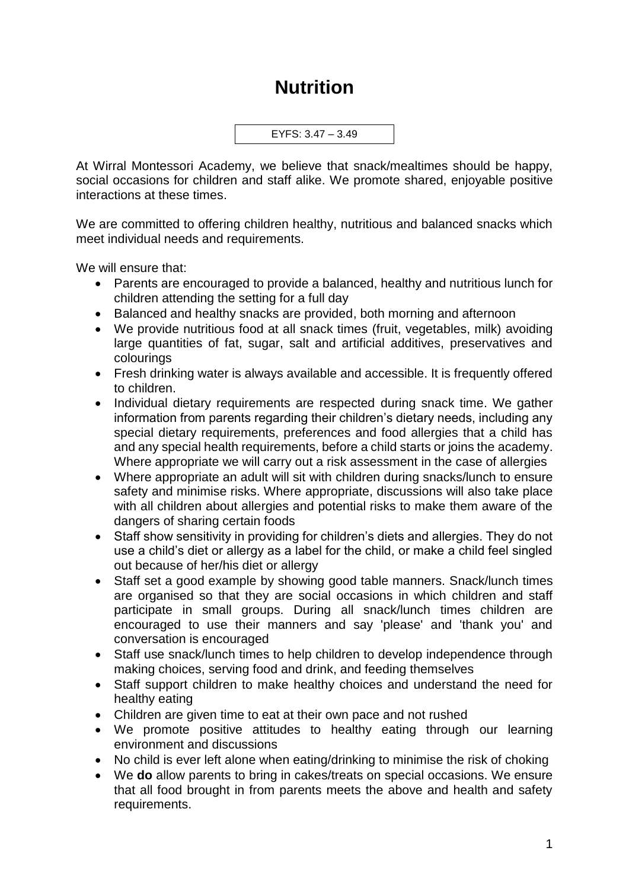## **Nutrition**

EYFS: 3.47 – 3.49

At Wirral Montessori Academy, we believe that snack/mealtimes should be happy, social occasions for children and staff alike. We promote shared, enjoyable positive interactions at these times.

We are committed to offering children healthy, nutritious and balanced snacks which meet individual needs and requirements.

We will ensure that:

- Parents are encouraged to provide a balanced, healthy and nutritious lunch for children attending the setting for a full day
- Balanced and healthy snacks are provided, both morning and afternoon
- We provide nutritious food at all snack times (fruit, vegetables, milk) avoiding large quantities of fat, sugar, salt and artificial additives, preservatives and colourings
- Fresh drinking water is always available and accessible. It is frequently offered to children.
- Individual dietary requirements are respected during snack time. We gather information from parents regarding their children's dietary needs, including any special dietary requirements, preferences and food allergies that a child has and any special health requirements, before a child starts or joins the academy. Where appropriate we will carry out a risk assessment in the case of allergies
- Where appropriate an adult will sit with children during snacks/lunch to ensure safety and minimise risks. Where appropriate, discussions will also take place with all children about allergies and potential risks to make them aware of the dangers of sharing certain foods
- Staff show sensitivity in providing for children's diets and allergies. They do not use a child's diet or allergy as a label for the child, or make a child feel singled out because of her/his diet or allergy
- Staff set a good example by showing good table manners. Snack/lunch times are organised so that they are social occasions in which children and staff participate in small groups. During all snack/lunch times children are encouraged to use their manners and say 'please' and 'thank you' and conversation is encouraged
- Staff use snack/lunch times to help children to develop independence through making choices, serving food and drink, and feeding themselves
- Staff support children to make healthy choices and understand the need for healthy eating
- Children are given time to eat at their own pace and not rushed
- We promote positive attitudes to healthy eating through our learning environment and discussions
- No child is ever left alone when eating/drinking to minimise the risk of choking
- We **do** allow parents to bring in cakes/treats on special occasions. We ensure that all food brought in from parents meets the above and health and safety requirements.